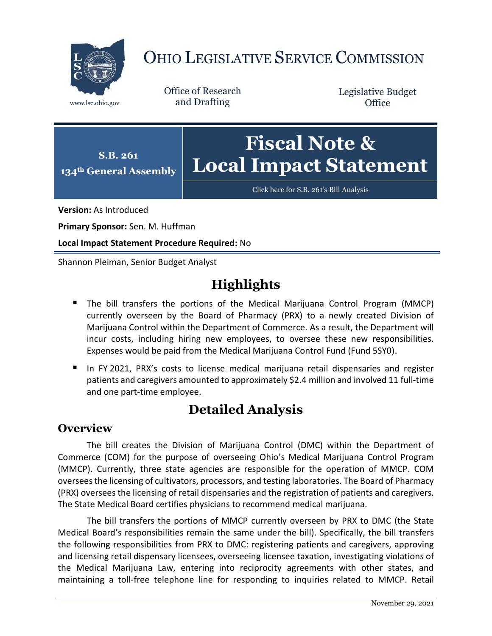

# OHIO LEGISLATIVE SERVICE COMMISSION

Office of Research www.lsc.ohio.gov and Drafting

Legislative Budget **Office** 



[Click here for S.B. 261](https://www.legislature.ohio.gov/legislation/legislation-documents?id=GA134-SB-261)'s Bill Analysis

**Version:** As Introduced

**Primary Sponsor:** Sen. M. Huffman

**Local Impact Statement Procedure Required:** No

Shannon Pleiman, Senior Budget Analyst

## **Highlights**

- The bill transfers the portions of the Medical Marijuana Control Program (MMCP) currently overseen by the Board of Pharmacy (PRX) to a newly created Division of Marijuana Control within the Department of Commerce. As a result, the Department will incur costs, including hiring new employees, to oversee these new responsibilities. Expenses would be paid from the Medical Marijuana Control Fund (Fund 5SY0).
- In FY 2021, PRX's costs to license medical marijuana retail dispensaries and register patients and caregivers amounted to approximately \$2.4 million and involved 11 full-time and one part-time employee.

## **Detailed Analysis**

#### **Overview**

The bill creates the Division of Marijuana Control (DMC) within the Department of Commerce (COM) for the purpose of overseeing Ohio's Medical Marijuana Control Program (MMCP). Currently, three state agencies are responsible for the operation of MMCP. COM oversees the licensing of cultivators, processors, and testing laboratories. The Board of Pharmacy (PRX) oversees the licensing of retail dispensaries and the registration of patients and caregivers. The State Medical Board certifies physicians to recommend medical marijuana.

The bill transfers the portions of MMCP currently overseen by PRX to DMC (the State Medical Board's responsibilities remain the same under the bill). Specifically, the bill transfers the following responsibilities from PRX to DMC: registering patients and caregivers, approving and licensing retail dispensary licensees, overseeing licensee taxation, investigating violations of the Medical Marijuana Law, entering into reciprocity agreements with other states, and maintaining a toll-free telephone line for responding to inquiries related to MMCP. Retail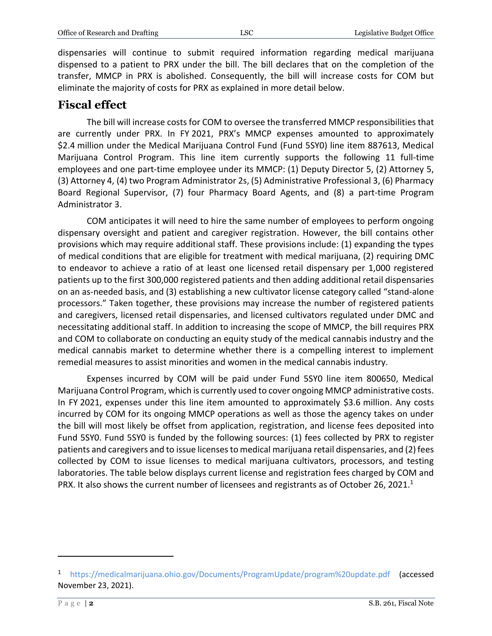dispensaries will continue to submit required information regarding medical marijuana dispensed to a patient to PRX under the bill. The bill declares that on the completion of the transfer, MMCP in PRX is abolished. Consequently, the bill will increase costs for COM but eliminate the majority of costs for PRX as explained in more detail below.

### **Fiscal effect**

The bill will increase costs for COM to oversee the transferred MMCP responsibilities that are currently under PRX. In FY 2021, PRX's MMCP expenses amounted to approximately \$2.4 million under the Medical Marijuana Control Fund (Fund 5SY0) line item 887613, Medical Marijuana Control Program. This line item currently supports the following 11 full-time employees and one part-time employee under its MMCP: (1) Deputy Director 5, (2) Attorney 5, (3) Attorney 4, (4) two Program Administrator 2s, (5) Administrative Professional 3, (6) Pharmacy Board Regional Supervisor, (7) four Pharmacy Board Agents, and (8) a part-time Program Administrator 3.

COM anticipates it will need to hire the same number of employees to perform ongoing dispensary oversight and patient and caregiver registration. However, the bill contains other provisions which may require additional staff. These provisions include: (1) expanding the types of medical conditions that are eligible for treatment with medical marijuana, (2) requiring DMC to endeavor to achieve a ratio of at least one licensed retail dispensary per 1,000 registered patients up to the first 300,000 registered patients and then adding additional retail dispensaries on an as-needed basis, and (3) establishing a new cultivator license category called "stand-alone processors." Taken together, these provisions may increase the number of registered patients and caregivers, licensed retail dispensaries, and licensed cultivators regulated under DMC and necessitating additional staff. In addition to increasing the scope of MMCP, the bill requires PRX and COM to collaborate on conducting an equity study of the medical cannabis industry and the medical cannabis market to determine whether there is a compelling interest to implement remedial measures to assist minorities and women in the medical cannabis industry.

Expenses incurred by COM will be paid under Fund 5SY0 line item 800650, Medical Marijuana Control Program, which is currently used to cover ongoing MMCP administrative costs. In FY 2021, expenses under this line item amounted to approximately \$3.6 million. Any costs incurred by COM for its ongoing MMCP operations as well as those the agency takes on under the bill will most likely be offset from application, registration, and license fees deposited into Fund 5SY0. Fund 5SY0 is funded by the following sources: (1) fees collected by PRX to register patients and caregivers and to issue licenses to medical marijuana retail dispensaries, and (2) fees collected by COM to issue licenses to medical marijuana cultivators, processors, and testing laboratories. The table below displays current license and registration fees charged by COM and PRX. It also shows the current number of licensees and registrants as of October 26, 2021.<sup>1</sup>

 $\overline{a}$ 

<sup>&</sup>lt;sup>1</sup> <https://medicalmarijuana.ohio.gov/Documents/ProgramUpdate/program%20update.pdf> (accessed November 23, 2021).